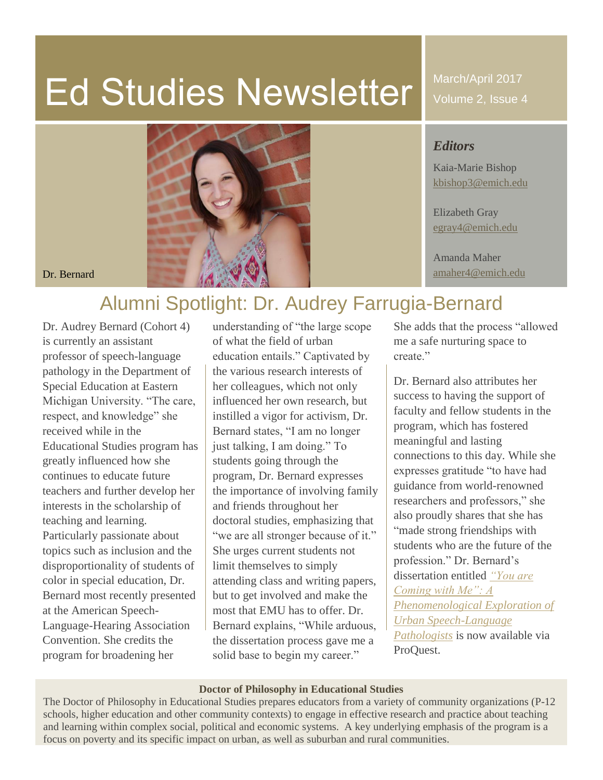# Ed Studies Newsletter

March/April 2017 Volume 2, Issue 4

#### *Editors*

Kaia-Marie Bishop [kbishop3@emich.edu](mailto:kbishop3@emich.edu)

Elizabeth Gray [egray4@emich.edu](mailto:egray4@emich.edu)

Amanda Maher



## Alumni Spotlight: Dr. Audrey Farrugia-Bernard

Dr. Audrey Bernard (Cohort 4) is currently an assistant professor of speech-language pathology in the Department of Special Education at Eastern Michigan University. "The care, respect, and knowledge" she received while in the Educational Studies program has greatly influenced how she continues to educate future teachers and further develop her interests in the scholarship of teaching and learning. Particularly passionate about topics such as inclusion and the disproportionality of students of color in special education, Dr. Bernard most recently presented at the American Speech-Language-Hearing Association Convention. She credits the program for broadening her

understanding of "the large scope of what the field of urban education entails." Captivated by the various research interests of her colleagues, which not only influenced her own research, but instilled a vigor for activism, Dr. Bernard states, "I am no longer just talking, I am doing." To students going through the program, Dr. Bernard expresses the importance of involving family and friends throughout her doctoral studies, emphasizing that "we are all stronger because of it." She urges current students not limit themselves to simply attending class and writing papers, but to get involved and make the most that EMU has to offer. Dr. Bernard explains, "While arduous, the dissertation process gave me a solid base to begin my career."

She adds that the process "allowed me a safe nurturing space to create."

Dr. Bernard also attributes her success to having the support of faculty and fellow students in the program, which has fostered meaningful and lasting connections to this day. While she expresses gratitude "to have had guidance from world-renowned researchers and professors," she also proudly shares that she has "made strong friendships with students who are the future of the profession." Dr. Bernard's dissertation entitled *["You are](http://search.proquest.com/docview/1878909455/59EA94C573984031PQ/1?accountid=10650)  [Coming with Me": A](http://search.proquest.com/docview/1878909455/59EA94C573984031PQ/1?accountid=10650)  [Phenomenological Exploration of](http://search.proquest.com/docview/1878909455/59EA94C573984031PQ/1?accountid=10650)  [Urban Speech-Language](http://search.proquest.com/docview/1878909455/59EA94C573984031PQ/1?accountid=10650)  [Pathologists](http://search.proquest.com/docview/1878909455/59EA94C573984031PQ/1?accountid=10650)* is now available via ProQuest.

#### **Doctor of Philosophy in Educational Studies**

The Doctor of Philosophy in Educational Studies prepares educators from a variety of community organizations (P-12 schools, higher education and other community contexts) to engage in effective research and practice about teaching and learning within complex social, political and economic systems. A key underlying emphasis of the program is a focus on poverty and its specific impact on urban, as well as suburban and rural communities.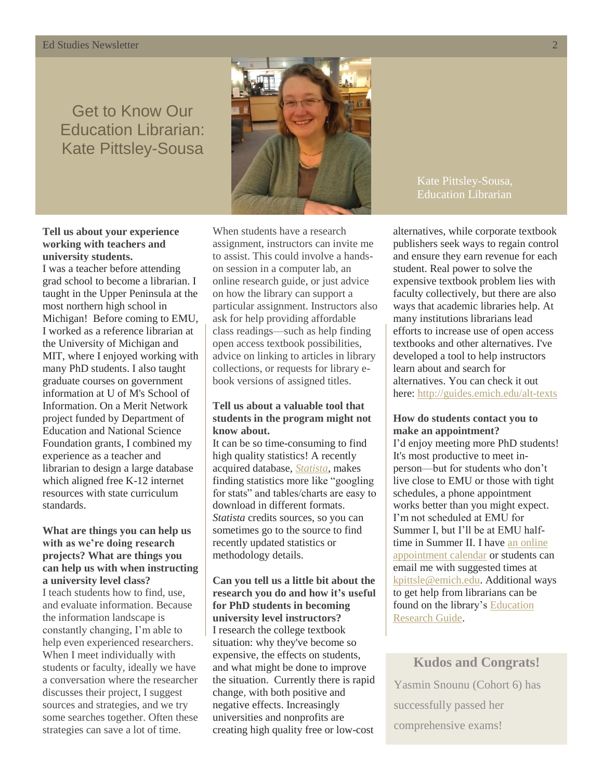#### **Ed Studies Newsletter**

## Get to Know Our Education Librarian: Kate Pittsley-Sousa



#### **Tell us about your experience working with teachers and university students.**

I was a teacher before attending grad school to become a librarian. I taught in the Upper Peninsula at the most northern high school in Michigan! Before coming to EMU, I worked as a reference librarian at the University of Michigan and MIT, where I enjoyed working with many PhD students. I also taught graduate courses on government information at U of M's School of Information. On a Merit Network project funded by Department of Education and National Science Foundation grants, I combined my experience as a teacher and librarian to design a large database which aligned free K-12 internet resources with state curriculum standards.

#### **What are things you can help us with as we're doing research projects? What are things you can help us with when instructing a university level class?** I teach students how to find, use, and evaluate information. Because the information landscape is constantly changing, I'm able to help even experienced researchers. When I meet individually with students or faculty, ideally we have a conversation where the researcher discusses their project, I suggest sources and strategies, and we try some searches together. Often these strategies can save a lot of time.

When students have a research assignment, instructors can invite me to assist. This could involve a handson session in a computer lab, an online research guide, or just advice on how the library can support a particular assignment. Instructors also ask for help providing affordable class readings—such as help finding open access textbook possibilities, advice on linking to articles in library collections, or requests for library ebook versions of assigned titles.

#### **Tell us about a valuable tool that students in the program might not know about.**

It can be so time-consuming to find high quality statistics! A recently acquired database, *[Statista](https://www.statista.com/)*, makes finding statistics more like "googling for stats" and tables/charts are easy to download in different formats. *Statista* credits sources, so you can sometimes go to the source to find recently updated statistics or methodology details.

**Can you tell us a little bit about the research you do and how it's useful for PhD students in becoming university level instructors?** I research the college textbook situation: why they've become so expensive, the effects on students, and what might be done to improve the situation. Currently there is rapid change, with both positive and negative effects. Increasingly universities and nonprofits are creating high quality free or low-cost

Kate Pittsley-Sousa, Education Librarian

alternatives, while corporate textbook publishers seek ways to regain control and ensure they earn revenue for each student. Real power to solve the expensive textbook problem lies with faculty collectively, but there are also ways that academic libraries help. At many institutions librarians lead efforts to increase use of open access textbooks and other alternatives. I've developed a tool to help instructors learn about and search for alternatives. You can check it out here: <http://guides.emich.edu/alt-texts>

#### **How do students contact you to make an appointment?**

I'd enjoy meeting more PhD students! It's most productive to meet inperson—but for students who don't live close to EMU or those with tight schedules, a phone appointment works better than you might expect. I'm not scheduled at EMU for Summer I, but I'll be at EMU halftime in Summer II. I have [an online](http://emich.libcal.com/appointment/5632)  [appointment calendar](http://emich.libcal.com/appointment/5632) or students can email me with suggested times at [kpittsle@emich.edu.](mailto:kpittsle@emich.edu) Additional ways to get help from librarians can be found on the library'[s Education](http://guides.emich.edu/education/help)  [Research Guide.](http://guides.emich.edu/education/help)

**Kudos and Congrats!** Yasmin Snounu (Cohort 6) has successfully passed her comprehensive exams!